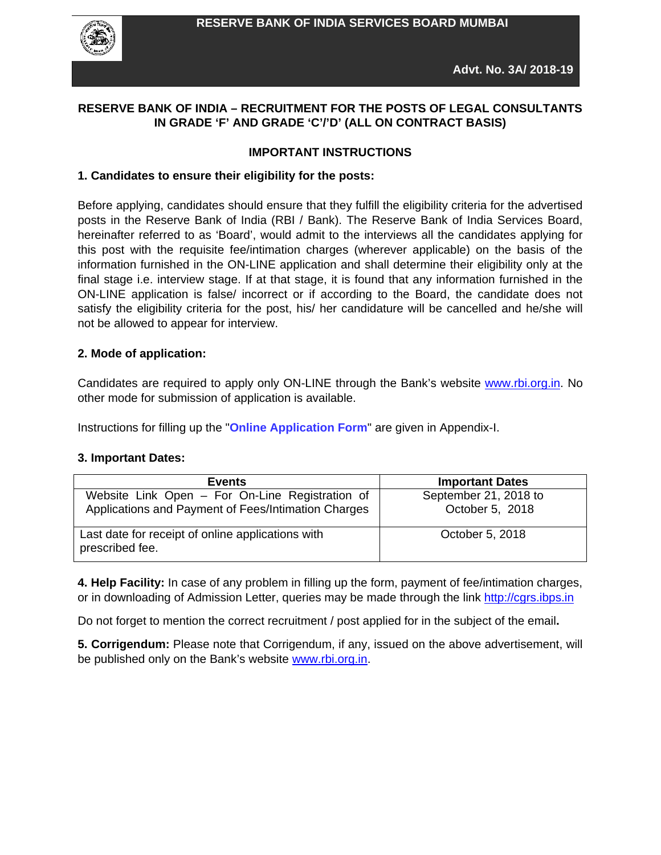

### **RESERVE BANK OF INDIA – RECRUITMENT FOR THE POSTS OF LEGAL CONSULTANTS IN GRADE 'F' AND GRADE 'C'/'D' (ALL ON CONTRACT BASIS)**

#### **IMPORTANT INSTRUCTIONS**

#### **1. Candidates to ensure their eligibility for the posts:**

Before applying, candidates should ensure that they fulfill the eligibility criteria for the advertised posts in the Reserve Bank of India (RBI / Bank). The Reserve Bank of India Services Board, hereinafter referred to as 'Board', would admit to the interviews all the candidates applying for this post with the requisite fee/intimation charges (wherever applicable) on the basis of the information furnished in the ON-LINE application and shall determine their eligibility only at the final stage i.e. interview stage. If at that stage, it is found that any information furnished in the ON-LINE application is false/ incorrect or if according to the Board, the candidate does not satisfy the eligibility criteria for the post, his/ her candidature will be cancelled and he/she will not be allowed to appear for interview.

#### **2. Mode of application:**

Candidates are required to apply only ON-LINE through the Bank's website [www.rbi.org.in.](http://www.rbi.org.in/) No other mode for submission of application is available.

Instructions for filling up the "**Online Application Form**" are given in Appendix-I.

### **3. Important Dates:**

| <b>Events</b>                                                                                          | <b>Important Dates</b>                   |
|--------------------------------------------------------------------------------------------------------|------------------------------------------|
| Website Link Open - For On-Line Registration of<br>Applications and Payment of Fees/Intimation Charges | September 21, 2018 to<br>October 5, 2018 |
| Last date for receipt of online applications with<br>prescribed fee.                                   | October 5, 2018                          |

**4. Help Facility:** In case of any problem in filling up the form, payment of fee/intimation charges, or in downloading of Admission Letter, queries may be made through the link [http://cgrs.ibps.in](http://cgrs.ibps.in/)

Do not forget to mention the correct recruitment / post applied for in the subject of the email**.**

**5. Corrigendum:** Please note that Corrigendum, if any, issued on the above advertisement, will be published only on the Bank's website [www.rbi.org.in.](http://www.rbi.org.in/)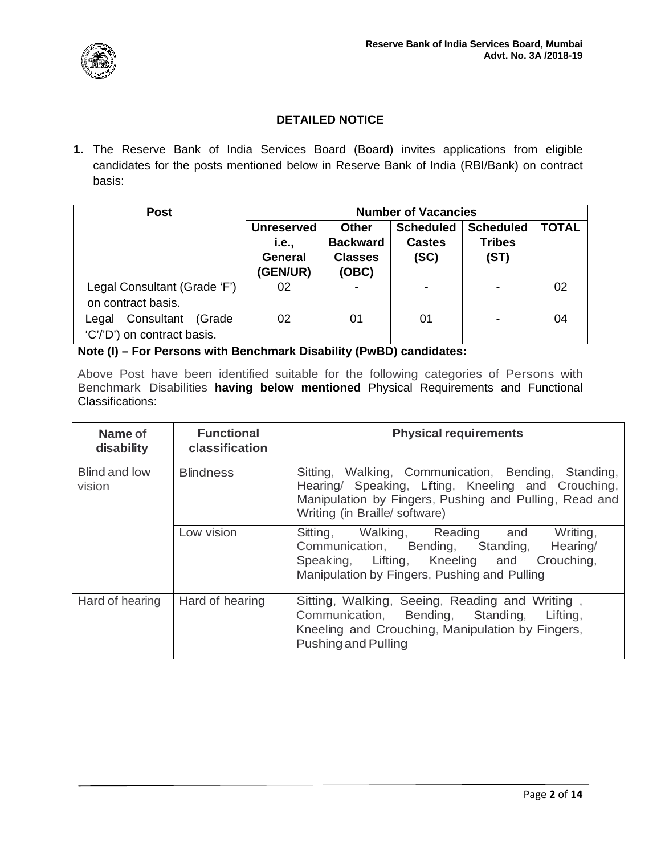

# **DETAILED NOTICE**

**1.** The Reserve Bank of India Services Board (Board) invites applications from eligible candidates for the posts mentioned below in Reserve Bank of India (RBI/Bank) on contract basis:

| <b>Post</b>                  | <b>Number of Vacancies</b> |                 |                  |                  |              |
|------------------------------|----------------------------|-----------------|------------------|------------------|--------------|
|                              | <b>Unreserved</b>          | <b>Other</b>    | <b>Scheduled</b> | <b>Scheduled</b> | <b>TOTAL</b> |
|                              | i.e.,                      | <b>Backward</b> | <b>Castes</b>    | <b>Tribes</b>    |              |
|                              | <b>General</b>             | <b>Classes</b>  | (SC)             | (ST)             |              |
|                              | (GEN/UR)                   | (OBC)           |                  |                  |              |
| Legal Consultant (Grade 'F') | 02                         |                 |                  |                  | 02           |
| on contract basis.           |                            |                 |                  |                  |              |
| Consultant (Grade<br>Legal   | 02                         | 01              | 01               |                  | 04           |
| 'C'/'D') on contract basis.  |                            |                 |                  |                  |              |

**Note (I) – For Persons with Benchmark Disability (PwBD) candidates:**

Above Post have been identified suitable for the following categories of Persons with Benchmark Disabilities **having below mentioned** Physical Requirements and Functional Classifications:

| Name of<br>disability   | <b>Functional</b><br>classification | <b>Physical requirements</b>                                                                                                                                                                             |
|-------------------------|-------------------------------------|----------------------------------------------------------------------------------------------------------------------------------------------------------------------------------------------------------|
| Blind and low<br>vision | <b>Blindness</b>                    | Walking, Communication, Bending, Standing,<br>Sitting,<br>Hearing/ Speaking, Lifting, Kneeling and Crouching,<br>Manipulation by Fingers, Pushing and Pulling, Read and<br>Writing (in Braille/software) |
|                         | Low vision                          | Sitting, Walking, Reading and<br>Writing,<br>Communication, Bending, Standing, Hearing/<br>Speaking, Lifting, Kneeling and Crouching,<br>Manipulation by Fingers, Pushing and Pulling                    |
| Hard of hearing         | Hard of hearing                     | Sitting, Walking, Seeing, Reading and Writing,<br>Communication, Bending, Standing, Lifting,<br>Kneeling and Crouching, Manipulation by Fingers,<br>Pushing and Pulling                                  |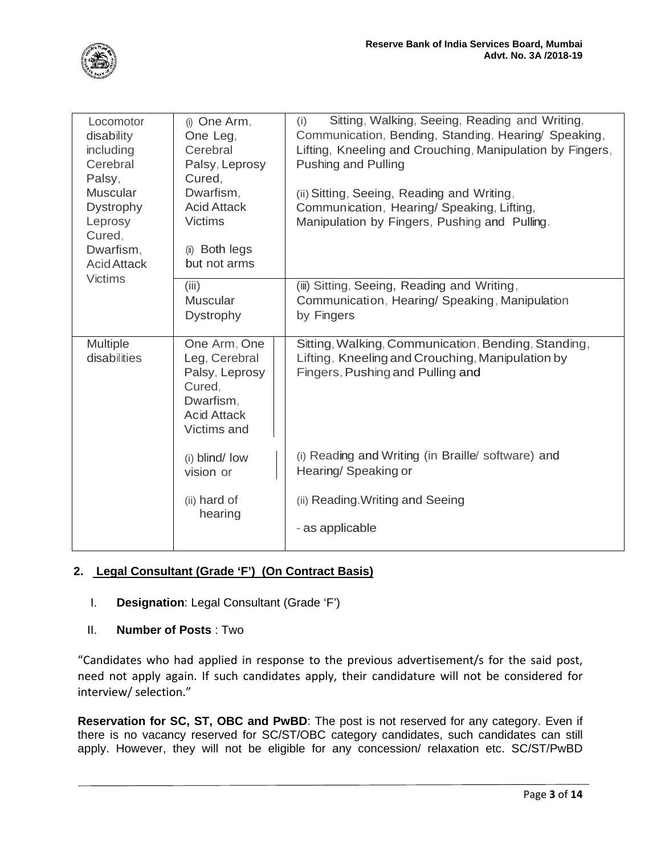| Locomotor<br>disability<br>including<br>Cerebral<br>Palsy,<br><b>Muscular</b><br><b>Dystrophy</b><br>Leprosy<br>Cured,<br>Dwarfism,<br><b>Acid Attack</b><br><b>Victims</b> | (i) One Arm,<br>One Leg,<br>Cerebral<br>Palsy, Leprosy<br>Cured,<br>Dwarfism,<br><b>Acid Attack</b><br><b>Victims</b><br>(ii) Both legs<br>but not arms | Sitting, Walking, Seeing, Reading and Writing,<br>(i)<br>Communication, Bending, Standing, Hearing/ Speaking,<br>Lifting, Kneeling and Crouching, Manipulation by Fingers,<br><b>Pushing and Pulling</b><br>(ii) Sitting, Seeing, Reading and Writing,<br>Communication, Hearing/ Speaking, Lifting,<br>Manipulation by Fingers, Pushing and Pulling. |
|-----------------------------------------------------------------------------------------------------------------------------------------------------------------------------|---------------------------------------------------------------------------------------------------------------------------------------------------------|-------------------------------------------------------------------------------------------------------------------------------------------------------------------------------------------------------------------------------------------------------------------------------------------------------------------------------------------------------|
|                                                                                                                                                                             | (iii)<br><b>Muscular</b><br><b>Dystrophy</b>                                                                                                            | (iii) Sitting, Seeing, Reading and Writing,<br>Communication, Hearing/Speaking, Manipulation<br>by Fingers                                                                                                                                                                                                                                            |
| Multiple<br>disabilities                                                                                                                                                    | One Arm, One<br>Leg, Cerebral<br>Palsy, Leprosy<br>Cured,<br>Dwarfism,<br><b>Acid Attack</b><br>Victims and                                             | Sitting, Walking, Communication, Bending, Standing,<br>Lifting, Kneeling and Crouching, Manipulation by<br>Fingers, Pushing and Pulling and                                                                                                                                                                                                           |
|                                                                                                                                                                             | (i) blind/ low<br>vision or                                                                                                                             | (i) Reading and Writing (in Braille/ software) and<br>Hearing/Speaking or                                                                                                                                                                                                                                                                             |
|                                                                                                                                                                             | (ii) hard of<br>hearing                                                                                                                                 | (ii) Reading Writing and Seeing<br>- as applicable                                                                                                                                                                                                                                                                                                    |

# **2. Legal Consultant (Grade 'F') (On Contract Basis)**

- I. **Designation**: Legal Consultant (Grade 'F')
- II. **Number of Posts** : Two

"Candidates who had applied in response to the previous advertisement/s for the said post, need not apply again. If such candidates apply, their candidature will not be considered for interview/ selection."

**Reservation for SC, ST, OBC and PwBD**: The post is not reserved for any category. Even if there is no vacancy reserved for SC/ST/OBC category candidates, such candidates can still apply. However, they will not be eligible for any concession/ relaxation etc. SC/ST/PwBD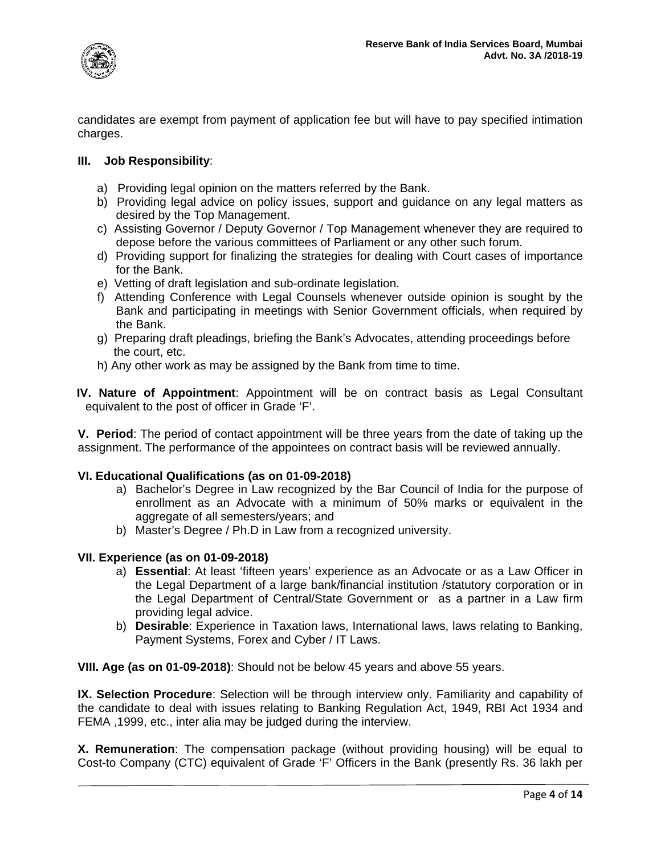

candidates are exempt from payment of application fee but will have to pay specified intimation charges.

#### **III. Job Responsibility**:

- a) Providing legal opinion on the matters referred by the Bank.
- b) Providing legal advice on policy issues, support and guidance on any legal matters as desired by the Top Management.
- c) Assisting Governor / Deputy Governor / Top Management whenever they are required to depose before the various committees of Parliament or any other such forum.
- d) Providing support for finalizing the strategies for dealing with Court cases of importance for the Bank.
- e) Vetting of draft legislation and sub-ordinate legislation.
- f) Attending Conference with Legal Counsels whenever outside opinion is sought by the Bank and participating in meetings with Senior Government officials, when required by the Bank.
- g) Preparing draft pleadings, briefing the Bank's Advocates, attending proceedings before the court, etc.
- h) Any other work as may be assigned by the Bank from time to time.

 **IV. Nature of Appointment**: Appointment will be on contract basis as Legal Consultant equivalent to the post of officer in Grade 'F'.

**V. Period**: The period of contact appointment will be three years from the date of taking up the assignment. The performance of the appointees on contract basis will be reviewed annually.

#### **VI. Educational Qualifications (as on 01-09-2018)**

- a) Bachelor's Degree in Law recognized by the Bar Council of India for the purpose of enrollment as an Advocate with a minimum of 50% marks or equivalent in the aggregate of all semesters/years; and
- b) Master's Degree / Ph.D in Law from a recognized university.

#### **VII. Experience (as on 01-09-2018)**

- a) **Essential**: At least 'fifteen years' experience as an Advocate or as a Law Officer in the Legal Department of a large bank/financial institution /statutory corporation or in the Legal Department of Central/State Government or as a partner in a Law firm providing legal advice.
- b) **Desirable**: Experience in Taxation laws, International laws, laws relating to Banking, Payment Systems, Forex and Cyber / IT Laws.

**VIII. Age (as on 01-09-2018)**: Should not be below 45 years and above 55 years.

**IX. Selection Procedure**: Selection will be through interview only. Familiarity and capability of the candidate to deal with issues relating to Banking Regulation Act, 1949, RBI Act 1934 and FEMA ,1999, etc., inter alia may be judged during the interview.

**X. Remuneration**: The compensation package (without providing housing) will be equal to Cost-to Company (CTC) equivalent of Grade 'F' Officers in the Bank (presently Rs. 36 lakh per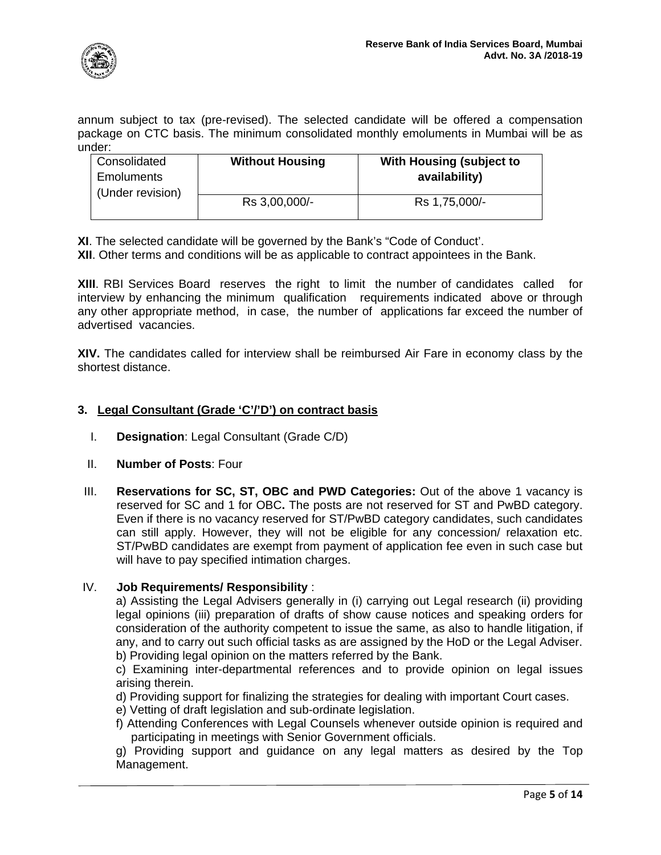

annum subject to tax (pre-revised). The selected candidate will be offered a compensation package on CTC basis. The minimum consolidated monthly emoluments in Mumbai will be as under:

| Consolidated<br>Emoluments<br>(Under revision) | <b>Without Housing</b> | With Housing (subject to<br>availability) |
|------------------------------------------------|------------------------|-------------------------------------------|
|                                                | Rs 3,00,000/-          | Rs 1,75,000/-                             |

**XI**. The selected candidate will be governed by the Bank's "Code of Conduct'.

**XII**. Other terms and conditions will be as applicable to contract appointees in the Bank.

**XIII**. RBI Services Board reserves the right to limit the number of candidates called for interview by enhancing the minimum qualification requirements indicated above or through any other appropriate method, in case, the number of applications far exceed the number of advertised vacancies.

**XIV.** The candidates called for interview shall be reimbursed Air Fare in economy class by the shortest distance.

### **3. Legal Consultant (Grade 'C'/'D') on contract basis**

- I. **Designation**: Legal Consultant (Grade C/D)
- II. **Number of Posts**: Four
- III. **Reservations for SC, ST, OBC and PWD Categories:** Out of the above 1 vacancy is reserved for SC and 1 for OBC**.** The posts are not reserved for ST and PwBD category. Even if there is no vacancy reserved for ST/PwBD category candidates, such candidates can still apply. However, they will not be eligible for any concession/ relaxation etc. ST/PwBD candidates are exempt from payment of application fee even in such case but will have to pay specified intimation charges.

#### IV. **Job Requirements/ Responsibility** :

a) Assisting the Legal Advisers generally in (i) carrying out Legal research (ii) providing legal opinions (iii) preparation of drafts of show cause notices and speaking orders for consideration of the authority competent to issue the same, as also to handle litigation, if any, and to carry out such official tasks as are assigned by the HoD or the Legal Adviser. b) Providing legal opinion on the matters referred by the Bank.

c) Examining inter-departmental references and to provide opinion on legal issues arising therein.

d) Providing support for finalizing the strategies for dealing with important Court cases.

e) Vetting of draft legislation and sub-ordinate legislation.

f) Attending Conferences with Legal Counsels whenever outside opinion is required and participating in meetings with Senior Government officials.

g) Providing support and guidance on any legal matters as desired by the Top Management.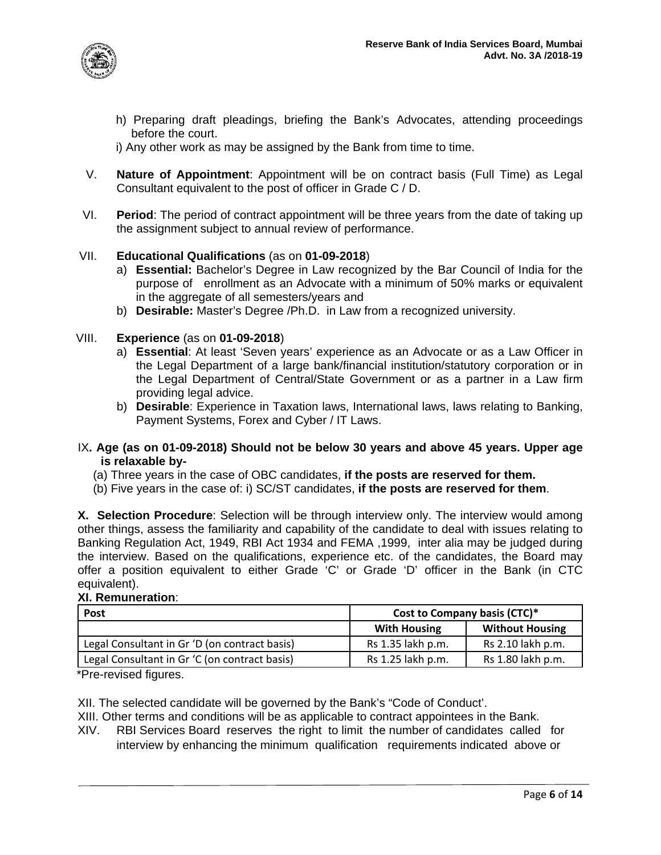

- h) Preparing draft pleadings, briefing the Bank's Advocates, attending proceedings before the court.
- i) Any other work as may be assigned by the Bank from time to time.
- V. **Nature of Appointment**: Appointment will be on contract basis (Full Time) as Legal Consultant equivalent to the post of officer in Grade C / D.
- VI. **Period**: The period of contract appointment will be three years from the date of taking up the assignment subject to annual review of performance.

### VII. **Educational Qualifications** (as on **01-09-2018**)

- a) **Essential:** Bachelor's Degree in Law recognized by the Bar Council of India for the purpose of enrollment as an Advocate with a minimum of 50% marks or equivalent in the aggregate of all semesters/years and
- b) **Desirable:** Master's Degree /Ph.D. in Law from a recognized university.

### VIII. **Experience** (as on **01-09-2018**)

- a) **Essential**: At least 'Seven years' experience as an Advocate or as a Law Officer in the Legal Department of a large bank/financial institution/statutory corporation or in the Legal Department of Central/State Government or as a partner in a Law firm providing legal advice.
- b) **Desirable**: Experience in Taxation laws, International laws, laws relating to Banking, Payment Systems, Forex and Cyber / IT Laws.

#### IX**. Age (as on 01-09-2018) Should not be below 30 years and above 45 years. Upper age is relaxable by-**

- (a) Three years in the case of OBC candidates, **if the posts are reserved for them.**
- (b) Five years in the case of: i) SC/ST candidates, **if the posts are reserved for them**.

**X. Selection Procedure**: Selection will be through interview only. The interview would among other things, assess the familiarity and capability of the candidate to deal with issues relating to Banking Regulation Act, 1949, RBI Act 1934 and FEMA ,1999, inter alia may be judged during the interview. Based on the qualifications, experience etc. of the candidates, the Board may offer a position equivalent to either Grade 'C' or Grade 'D' officer in the Bank (in CTC equivalent).

#### **XI. Remuneration**:

| <b>Post</b>                                   | Cost to Company basis (CTC)* |                        |  |
|-----------------------------------------------|------------------------------|------------------------|--|
|                                               | <b>With Housing</b>          | <b>Without Housing</b> |  |
| Legal Consultant in Gr 'D (on contract basis) | Rs 1.35 lakh p.m.            | Rs 2.10 lakh p.m.      |  |
| Legal Consultant in Gr 'C (on contract basis) | Rs 1.25 lakh p.m.            | Rs 1.80 lakh p.m.      |  |

\*Pre-revised figures.

XII. The selected candidate will be governed by the Bank's "Code of Conduct'.

XIII. Other terms and conditions will be as applicable to contract appointees in the Bank.

XIV. RBI Services Board reserves the right to limit the number of candidates called for interview by enhancing the minimum qualification requirements indicated above or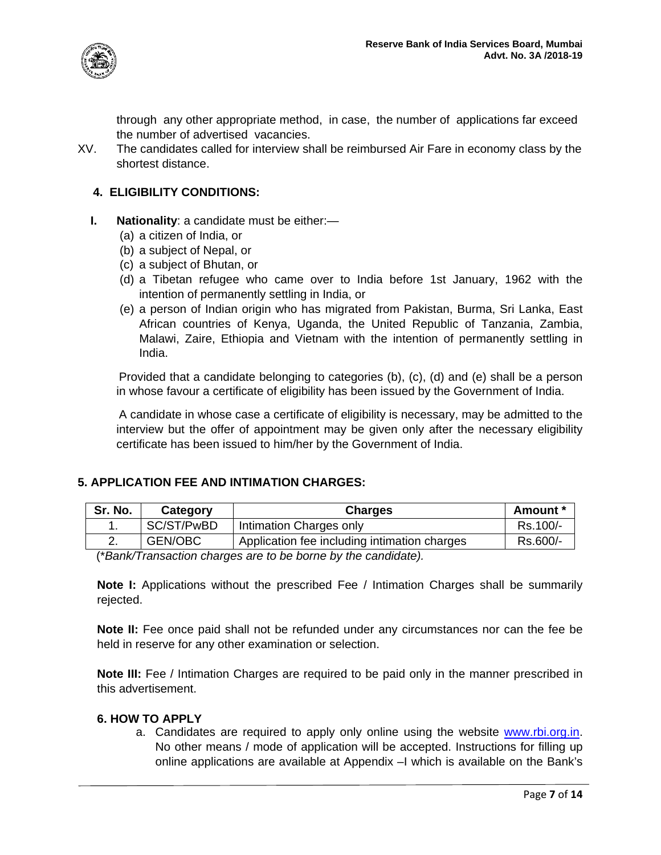

through any other appropriate method, in case, the number of applications far exceed the number of advertised vacancies.

XV. The candidates called for interview shall be reimbursed Air Fare in economy class by the shortest distance.

### **4. ELIGIBILITY CONDITIONS:**

- **I. Nationality**: a candidate must be either:—
	- (a) a citizen of India, or
	- (b) a subject of Nepal, or
	- (c) a subject of Bhutan, or
	- (d) a Tibetan refugee who came over to India before 1st January, 1962 with the intention of permanently settling in India, or
	- (e) a person of Indian origin who has migrated from Pakistan, Burma, Sri Lanka, East African countries of Kenya, Uganda, the United Republic of Tanzania, Zambia, Malawi, Zaire, Ethiopia and Vietnam with the intention of permanently settling in India.

Provided that a candidate belonging to categories (b), (c), (d) and (e) shall be a person in whose favour a certificate of eligibility has been issued by the Government of India.

A candidate in whose case a certificate of eligibility is necessary, may be admitted to the interview but the offer of appointment may be given only after the necessary eligibility certificate has been issued to him/her by the Government of India.

### **5. APPLICATION FEE AND INTIMATION CHARGES:**

| SC/ST/PwBD<br>Intimation Charges only<br>ι. | Sr. No. | Category       | <b>Charges</b>                               | Amount * |
|---------------------------------------------|---------|----------------|----------------------------------------------|----------|
|                                             |         |                |                                              | Rs.100/- |
|                                             |         | <b>GEN/OBC</b> | Application fee including intimation charges | Rs.600/- |

(\**Bank/Transaction charges are to be borne by the candidate).* 

**Note I:** Applications without the prescribed Fee / Intimation Charges shall be summarily rejected.

**Note II:** Fee once paid shall not be refunded under any circumstances nor can the fee be held in reserve for any other examination or selection.

**Note III:** Fee / Intimation Charges are required to be paid only in the manner prescribed in this advertisement.

#### **6. HOW TO APPLY**

a. Candidates are required to apply only online using the website [www.rbi.org.in.](http://www.rbi.org.in/) No other means / mode of application will be accepted. Instructions for filling up online applications are available at Appendix –I which is available on the Bank's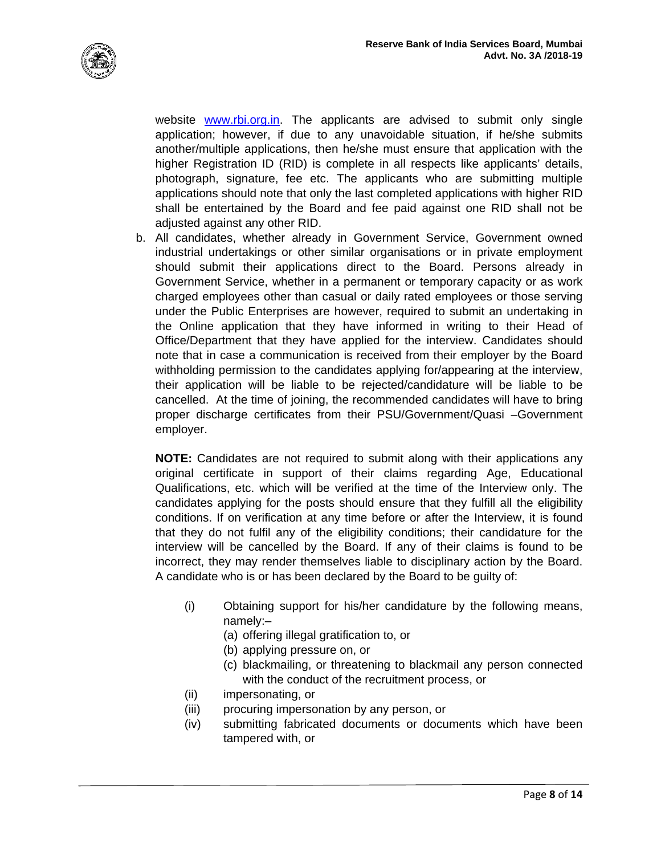

website [www.rbi.org.in.](http://www.rbi.org.in/) The applicants are advised to submit only single application; however, if due to any unavoidable situation, if he/she submits another/multiple applications, then he/she must ensure that application with the higher Registration ID (RID) is complete in all respects like applicants' details, photograph, signature, fee etc. The applicants who are submitting multiple applications should note that only the last completed applications with higher RID shall be entertained by the Board and fee paid against one RID shall not be adjusted against any other RID.

b. All candidates, whether already in Government Service, Government owned industrial undertakings or other similar organisations or in private employment should submit their applications direct to the Board. Persons already in Government Service, whether in a permanent or temporary capacity or as work charged employees other than casual or daily rated employees or those serving under the Public Enterprises are however, required to submit an undertaking in the Online application that they have informed in writing to their Head of Office/Department that they have applied for the interview. Candidates should note that in case a communication is received from their employer by the Board withholding permission to the candidates applying for/appearing at the interview, their application will be liable to be rejected/candidature will be liable to be cancelled. At the time of joining, the recommended candidates will have to bring proper discharge certificates from their PSU/Government/Quasi –Government employer.

**NOTE:** Candidates are not required to submit along with their applications any original certificate in support of their claims regarding Age, Educational Qualifications, etc. which will be verified at the time of the Interview only. The candidates applying for the posts should ensure that they fulfill all the eligibility conditions. If on verification at any time before or after the Interview, it is found that they do not fulfil any of the eligibility conditions; their candidature for the interview will be cancelled by the Board. If any of their claims is found to be incorrect, they may render themselves liable to disciplinary action by the Board. A candidate who is or has been declared by the Board to be guilty of:

- (i) Obtaining support for his/her candidature by the following means, namely:–
	- (a) offering illegal gratification to, or
	- (b) applying pressure on, or
	- (c) blackmailing, or threatening to blackmail any person connected with the conduct of the recruitment process, or
- (ii) impersonating, or
- (iii) procuring impersonation by any person, or
- (iv) submitting fabricated documents or documents which have been tampered with, or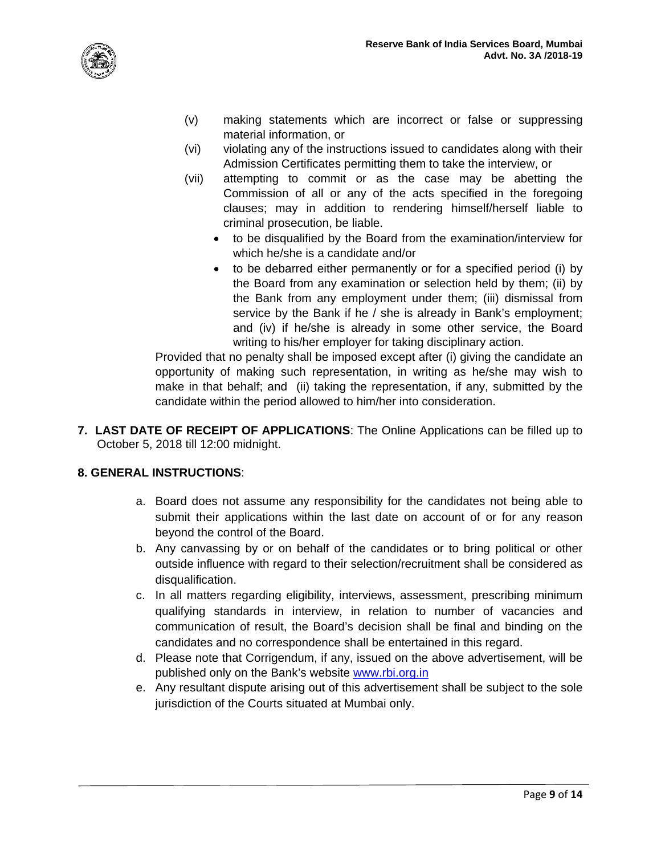



- (v) making statements which are incorrect or false or suppressing material information, or
- (vi) violating any of the instructions issued to candidates along with their Admission Certificates permitting them to take the interview, or
- (vii) attempting to commit or as the case may be abetting the Commission of all or any of the acts specified in the foregoing clauses; may in addition to rendering himself/herself liable to criminal prosecution, be liable.
	- to be disqualified by the Board from the examination/interview for which he/she is a candidate and/or
	- to be debarred either permanently or for a specified period (i) by the Board from any examination or selection held by them; (ii) by the Bank from any employment under them; (iii) dismissal from service by the Bank if he / she is already in Bank's employment; and (iv) if he/she is already in some other service, the Board writing to his/her employer for taking disciplinary action.

Provided that no penalty shall be imposed except after (i) giving the candidate an opportunity of making such representation, in writing as he/she may wish to make in that behalf; and (ii) taking the representation, if any, submitted by the candidate within the period allowed to him/her into consideration.

**7. LAST DATE OF RECEIPT OF APPLICATIONS**: The Online Applications can be filled up to October 5, 2018 till 12:00 midnight.

### **8. GENERAL INSTRUCTIONS**:

- a. Board does not assume any responsibility for the candidates not being able to submit their applications within the last date on account of or for any reason beyond the control of the Board.
- b. Any canvassing by or on behalf of the candidates or to bring political or other outside influence with regard to their selection/recruitment shall be considered as disqualification.
- c. In all matters regarding eligibility, interviews, assessment, prescribing minimum qualifying standards in interview, in relation to number of vacancies and communication of result, the Board's decision shall be final and binding on the candidates and no correspondence shall be entertained in this regard.
- d. Please note that Corrigendum, if any, issued on the above advertisement, will be published only on the Bank's website [www.rbi.org.in](http://www.rbi.org.in/)
- e. Any resultant dispute arising out of this advertisement shall be subject to the sole jurisdiction of the Courts situated at Mumbai only.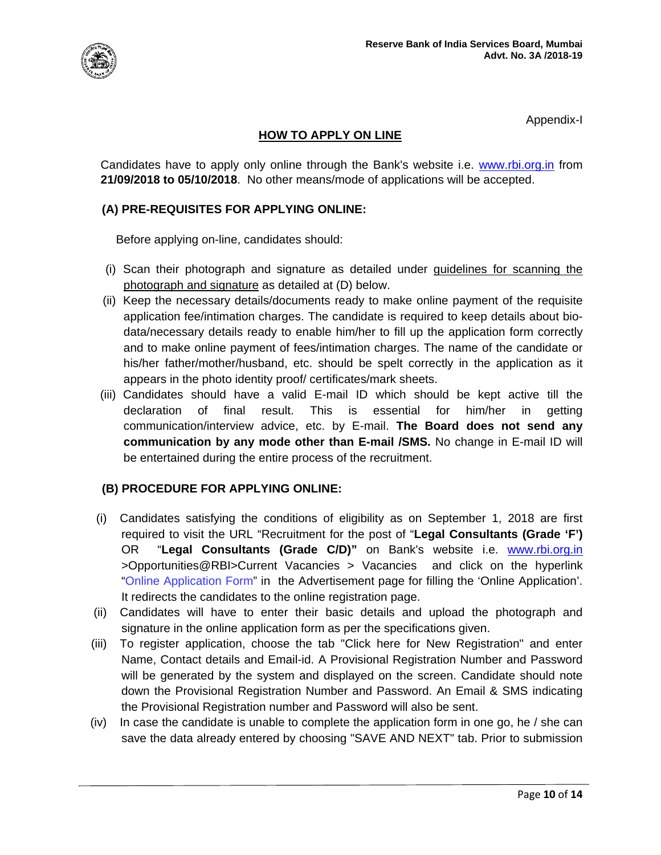

Appendix-I

## **HOW TO APPLY ON LINE**

Candidates have to apply only online through the Bank's website i.e. [www.rbi.org.in](http://www.rbi.org.in/) from **21/09/2018 to 05/10/2018**. No other means/mode of applications will be accepted.

## **(A) PRE-REQUISITES FOR APPLYING ONLINE:**

Before applying on-line, candidates should:

- (i) Scan their photograph and signature as detailed under guidelines for scanning the photograph and signature as detailed at (D) below.
- (ii) Keep the necessary details/documents ready to make online payment of the requisite application fee/intimation charges. The candidate is required to keep details about biodata/necessary details ready to enable him/her to fill up the application form correctly and to make online payment of fees/intimation charges. The name of the candidate or his/her father/mother/husband, etc. should be spelt correctly in the application as it appears in the photo identity proof/ certificates/mark sheets.
- (iii) Candidates should have a valid E-mail ID which should be kept active till the declaration of final result. This is essential for him/her in getting communication/interview advice, etc. by E-mail. **The Board does not send any communication by any mode other than E-mail /SMS.** No change in E-mail ID will be entertained during the entire process of the recruitment.

### **(B) PROCEDURE FOR APPLYING ONLINE:**

- (i) Candidates satisfying the conditions of eligibility as on September 1, 2018 are first required to visit the URL "Recruitment for the post of "**Legal Consultants (Grade 'F')** OR "**Legal Consultants (Grade C/D)"** on Bank's website i.e. [www.rbi.org.in](http://www.rbi.org.in/) >Opportunities@RBI>Current Vacancies > Vacancies and click on the hyperlink "Online Application Form" in the Advertisement page for filling the 'Online Application'. It redirects the candidates to the online registration page.
- (ii) Candidates will have to enter their basic details and upload the photograph and signature in the online application form as per the specifications given.
- (iii) To register application, choose the tab "Click here for New Registration" and enter Name, Contact details and Email-id. A Provisional Registration Number and Password will be generated by the system and displayed on the screen. Candidate should note down the Provisional Registration Number and Password. An Email & SMS indicating the Provisional Registration number and Password will also be sent.
- $(iv)$  In case the candidate is unable to complete the application form in one go, he / she can save the data already entered by choosing "SAVE AND NEXT" tab. Prior to submission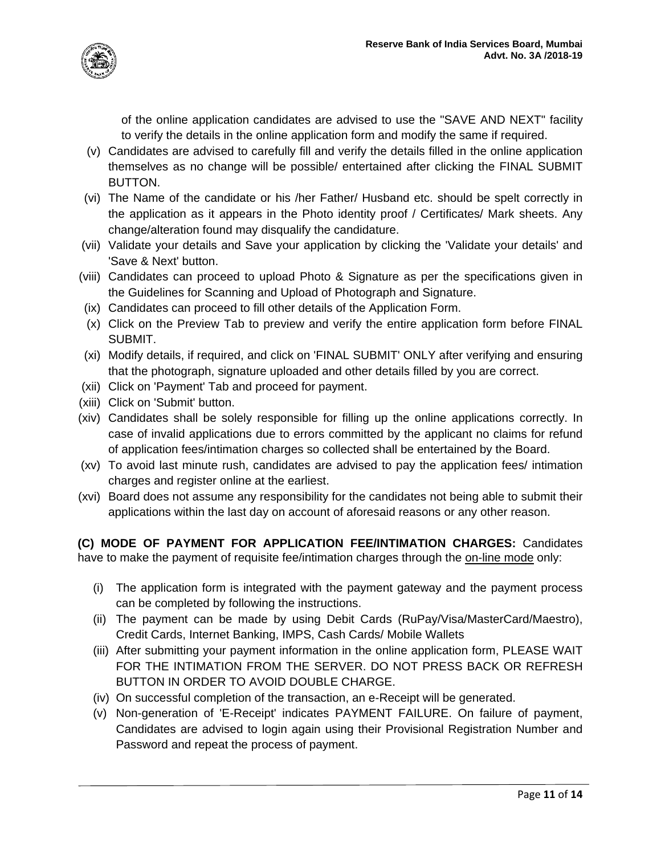

of the online application candidates are advised to use the "SAVE AND NEXT" facility to verify the details in the online application form and modify the same if required.

- (v) Candidates are advised to carefully fill and verify the details filled in the online application themselves as no change will be possible/ entertained after clicking the FINAL SUBMIT BUTTON.
- (vi) The Name of the candidate or his /her Father/ Husband etc. should be spelt correctly in the application as it appears in the Photo identity proof / Certificates/ Mark sheets. Any change/alteration found may disqualify the candidature.
- (vii) Validate your details and Save your application by clicking the 'Validate your details' and 'Save & Next' button.
- (viii) Candidates can proceed to upload Photo & Signature as per the specifications given in the Guidelines for Scanning and Upload of Photograph and Signature.
- (ix) Candidates can proceed to fill other details of the Application Form.
- (x) Click on the Preview Tab to preview and verify the entire application form before FINAL SUBMIT.
- (xi) Modify details, if required, and click on 'FINAL SUBMIT' ONLY after verifying and ensuring that the photograph, signature uploaded and other details filled by you are correct.
- (xii) Click on 'Payment' Tab and proceed for payment.
- (xiii) Click on 'Submit' button.
- (xiv) Candidates shall be solely responsible for filling up the online applications correctly. In case of invalid applications due to errors committed by the applicant no claims for refund of application fees/intimation charges so collected shall be entertained by the Board.
- (xv) To avoid last minute rush, candidates are advised to pay the application fees/ intimation charges and register online at the earliest.
- (xvi) Board does not assume any responsibility for the candidates not being able to submit their applications within the last day on account of aforesaid reasons or any other reason.

**(C) MODE OF PAYMENT FOR APPLICATION FEE/INTIMATION CHARGES:** Candidates have to make the payment of requisite fee/intimation charges through the on-line mode only:

- (i) The application form is integrated with the payment gateway and the payment process can be completed by following the instructions.
- (ii) The payment can be made by using Debit Cards (RuPay/Visa/MasterCard/Maestro), Credit Cards, Internet Banking, IMPS, Cash Cards/ Mobile Wallets
- (iii) After submitting your payment information in the online application form, PLEASE WAIT FOR THE INTIMATION FROM THE SERVER. DO NOT PRESS BACK OR REFRESH BUTTON IN ORDER TO AVOID DOUBLE CHARGE.
- (iv) On successful completion of the transaction, an e-Receipt will be generated.
- (v) Non-generation of 'E-Receipt' indicates PAYMENT FAILURE. On failure of payment, Candidates are advised to login again using their Provisional Registration Number and Password and repeat the process of payment.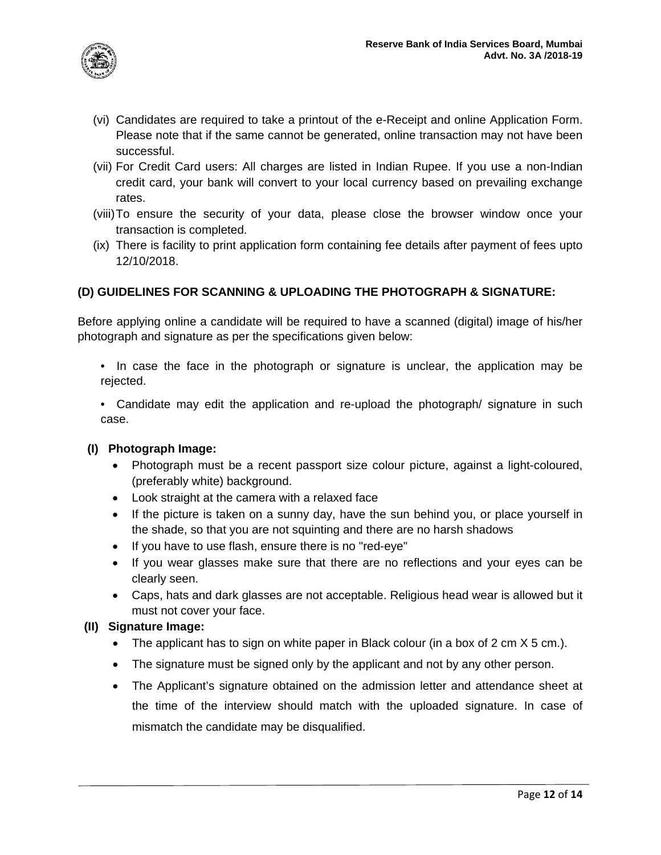

- (vi) Candidates are required to take a printout of the e-Receipt and online Application Form. Please note that if the same cannot be generated, online transaction may not have been successful.
- (vii) For Credit Card users: All charges are listed in Indian Rupee. If you use a non-Indian credit card, your bank will convert to your local currency based on prevailing exchange rates.
- (viii)To ensure the security of your data, please close the browser window once your transaction is completed.
- (ix) There is facility to print application form containing fee details after payment of fees upto 12/10/2018.

# **(D) GUIDELINES FOR SCANNING & UPLOADING THE PHOTOGRAPH & SIGNATURE:**

Before applying online a candidate will be required to have a scanned (digital) image of his/her photograph and signature as per the specifications given below:

- In case the face in the photograph or signature is unclear, the application may be rejected.
- Candidate may edit the application and re-upload the photograph/ signature in such case.

### **(I) Photograph Image:**

- Photograph must be a recent passport size colour picture, against a light-coloured, (preferably white) background.
- Look straight at the camera with a relaxed face
- If the picture is taken on a sunny day, have the sun behind you, or place yourself in the shade, so that you are not squinting and there are no harsh shadows
- If you have to use flash, ensure there is no "red-eye"
- If you wear glasses make sure that there are no reflections and your eyes can be clearly seen.
- Caps, hats and dark glasses are not acceptable. Religious head wear is allowed but it must not cover your face.

### **(II) Signature Image:**

- The applicant has to sign on white paper in Black colour (in a box of 2 cm  $X$  5 cm.).
- The signature must be signed only by the applicant and not by any other person.
- The Applicant's signature obtained on the admission letter and attendance sheet at the time of the interview should match with the uploaded signature. In case of mismatch the candidate may be disqualified.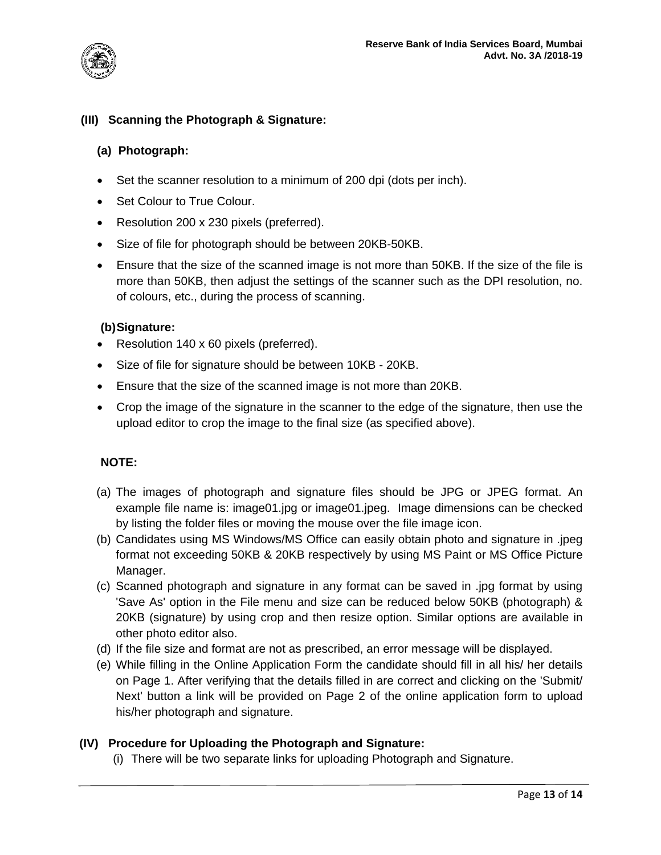

# **(III) Scanning the Photograph & Signature:**

#### **(a) Photograph:**

- Set the scanner resolution to a minimum of 200 dpi (dots per inch).
- Set Colour to True Colour.
- Resolution 200 x 230 pixels (preferred).
- Size of file for photograph should be between 20KB-50KB.
- Ensure that the size of the scanned image is not more than 50KB. If the size of the file is more than 50KB, then adjust the settings of the scanner such as the DPI resolution, no. of colours, etc., during the process of scanning.

### **(b)Signature:**

- Resolution 140 x 60 pixels (preferred).
- Size of file for signature should be between 10KB 20KB.
- Ensure that the size of the scanned image is not more than 20KB.
- Crop the image of the signature in the scanner to the edge of the signature, then use the upload editor to crop the image to the final size (as specified above).

### **NOTE:**

- (a) The images of photograph and signature files should be JPG or JPEG format. An example file name is: image01.jpg or image01.jpeg. Image dimensions can be checked by listing the folder files or moving the mouse over the file image icon.
- (b) Candidates using MS Windows/MS Office can easily obtain photo and signature in .jpeg format not exceeding 50KB & 20KB respectively by using MS Paint or MS Office Picture Manager.
- (c) Scanned photograph and signature in any format can be saved in .jpg format by using 'Save As' option in the File menu and size can be reduced below 50KB (photograph) & 20KB (signature) by using crop and then resize option. Similar options are available in other photo editor also.
- (d) If the file size and format are not as prescribed, an error message will be displayed.
- (e) While filling in the Online Application Form the candidate should fill in all his/ her details on Page 1. After verifying that the details filled in are correct and clicking on the 'Submit/ Next' button a link will be provided on Page 2 of the online application form to upload his/her photograph and signature.

### **(IV) Procedure for Uploading the Photograph and Signature:**

(i) There will be two separate links for uploading Photograph and Signature.